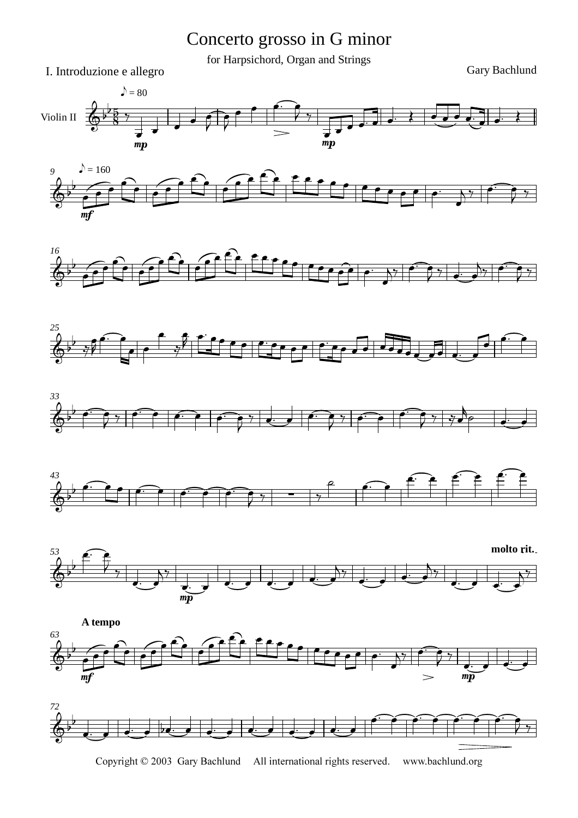Concerto grosso in G minor

for Harpsichord, Organ and Strings

I. Introduzione e allegro Gary Bachlund

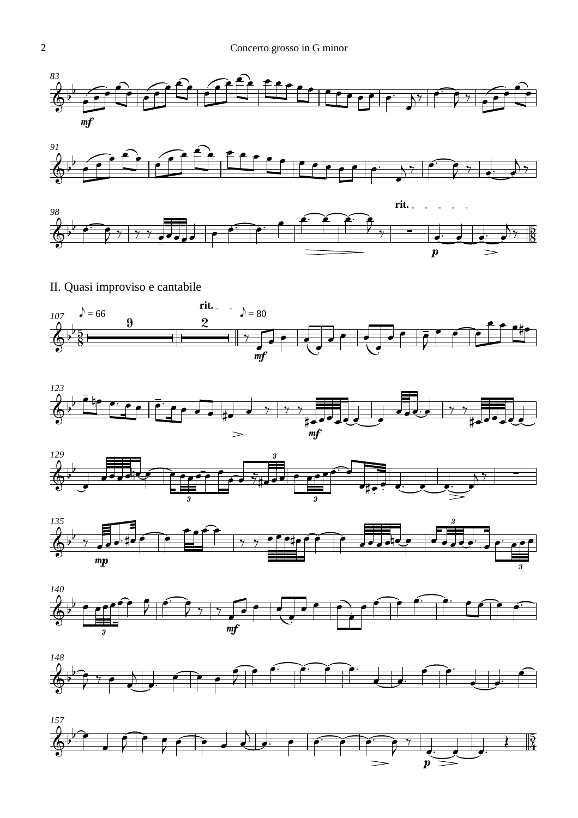





II. Quasi improviso e cantabile













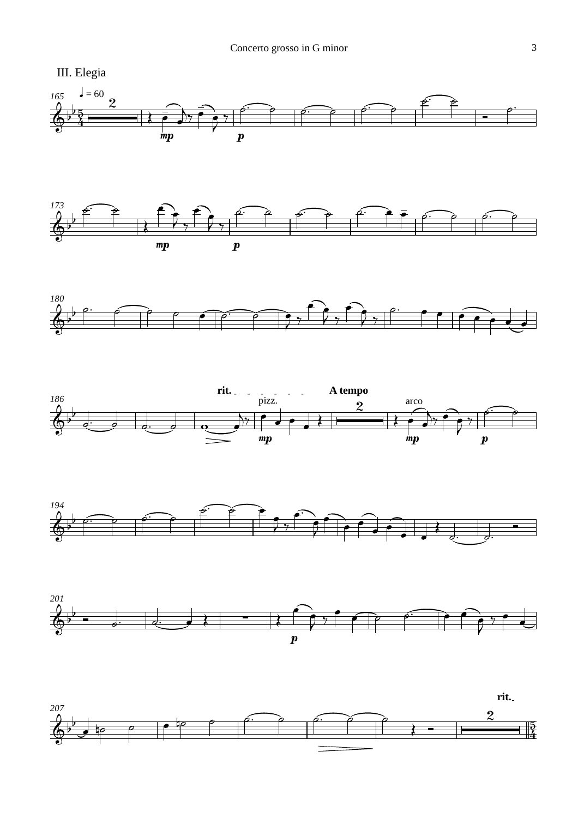













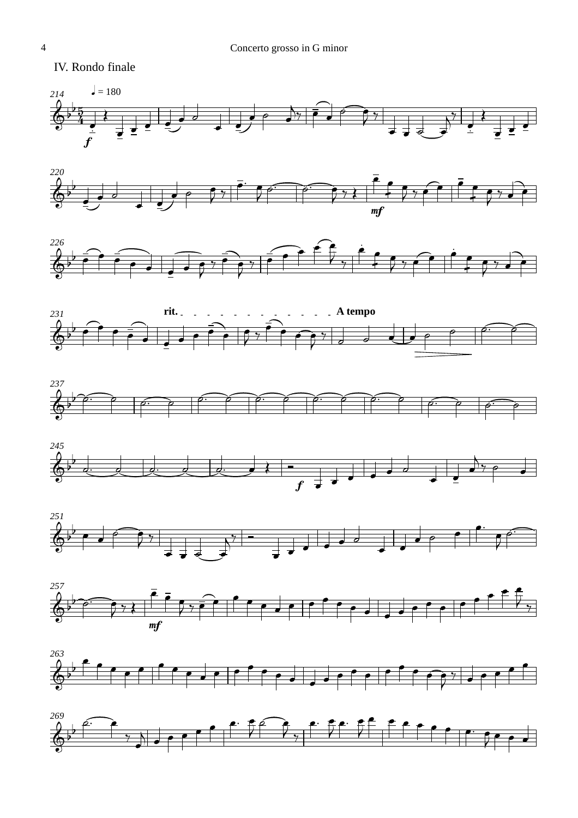IV. Rondo finale